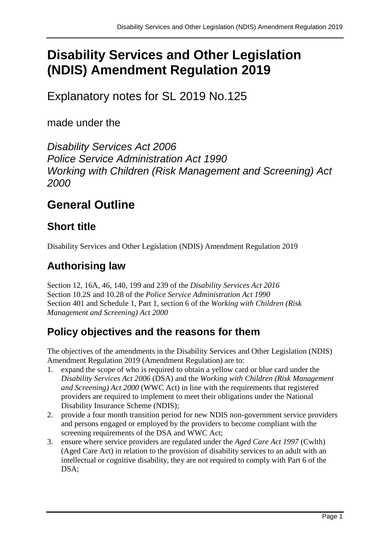# **Disability Services and Other Legislation (NDIS) Amendment Regulation 2019**

Explanatory notes for SL 2019 No.125

made under the

*Disability Services Act 2006 Police Service Administration Act 1990 Working with Children (Risk Management and Screening) Act 2000*

# **General Outline**

# **Short title**

Disability Services and Other Legislation (NDIS) Amendment Regulation 2019

# **Authorising law**

Section 12, 16A, 46, 140, 199 and 239 of the *Disability Services Act 2016* Section 10.2S and 10.28 of the *Police Service Administration Act 1990* Section 401 and Schedule 1, Part 1, section 6 of the *Working with Children (Risk Management and Screening) Act 2000*

## **Policy objectives and the reasons for them**

The objectives of the amendments in the Disability Services and Other Legislation (NDIS) Amendment Regulation 2019 (Amendment Regulation) are to:

- 1. expand the scope of who is required to obtain a yellow card or blue card under the *Disability Services Act 2006* (DSA) and the *Working with Children (Risk Management and Screening) Act 2000* (WWC Act) in line with the requirements that registered providers are required to implement to meet their obligations under the National Disability Insurance Scheme (NDIS);
- 2. provide a four month transition period for new NDIS non-government service providers and persons engaged or employed by the providers to become compliant with the screening requirements of the DSA and WWC Act;
- 3. ensure where service providers are regulated under the *Aged Care Act 1997* (Cwlth) (Aged Care Act) in relation to the provision of disability services to an adult with an intellectual or cognitive disability, they are not required to comply with Part 6 of the DSA;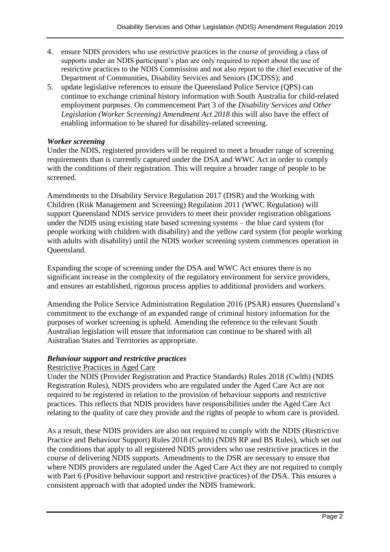- 4. ensure NDIS providers who use restrictive practices in the course of providing a class of supports under an NDIS participant's plan are only required to report about the use of restrictive practices to the NDIS Commission and not also report to the chief executive of the Department of Communities, Disability Services and Seniors (DCDSS); and
- 5. update legislative references to ensure the Queensland Police Service (QPS) can continue to exchange criminal history information with South Australia for child-related employment purposes. On commencement Part 3 of the *Disability Services and Other Legislation (Worker Screening) Amendment Act 2018* this will also have the effect of enabling information to be shared for disability-related screening.

#### *Worker screening*

Under the NDIS, registered providers will be required to meet a broader range of screening requirements than is currently captured under the DSA and WWC Act in order to comply with the conditions of their registration. This will require a broader range of people to be screened.

Amendments to the Disability Service Regulation 2017 (DSR) and the Working with Children (Risk Management and Screening) Regulation 2011 (WWC Regulation) will support Queensland NDIS service providers to meet their provider registration obligations under the NDIS using existing state based screening systems – the blue card system (for people working with children with disability) and the yellow card system (for people working with adults with disability) until the NDIS worker screening system commences operation in Queensland.

Expanding the scope of screening under the DSA and WWC Act ensures there is no significant increase in the complexity of the regulatory environment for service providers, and ensures an established, rigorous process applies to additional providers and workers.

Amending the Police Service Administration Regulation 2016 (PSAR) ensures Queensland's commitment to the exchange of an expanded range of criminal history information for the purposes of worker screening is upheld. Amending the reference to the relevant South Australian legislation will ensure that information can continue to be shared with all Australian States and Territories as appropriate.

#### *Behaviour support and restrictive practices*

#### Restrictive Practices in Aged Care

Under the NDIS (Provider Registration and Practice Standards) Rules 2018 (Cwlth) (NDIS Registration Rules), NDIS providers who are regulated under the Aged Care Act are not required to be registered in relation to the provision of behaviour supports and restrictive practices. This reflects that NDIS providers have responsibilities under the Aged Care Act relating to the quality of care they provide and the rights of people to whom care is provided.

As a result, these NDIS providers are also not required to comply with the NDIS (Restrictive Practice and Behaviour Support) Rules 2018 (Cwlth) (NDIS RP and BS Rules), which set out the conditions that apply to all registered NDIS providers who use restrictive practices in the course of delivering NDIS supports. Amendments to the DSR are necessary to ensure that where NDIS providers are regulated under the Aged Care Act they are not required to comply with Part 6 (Positive behaviour support and restrictive practices) of the DSA. This ensures a consistent approach with that adopted under the NDIS framework.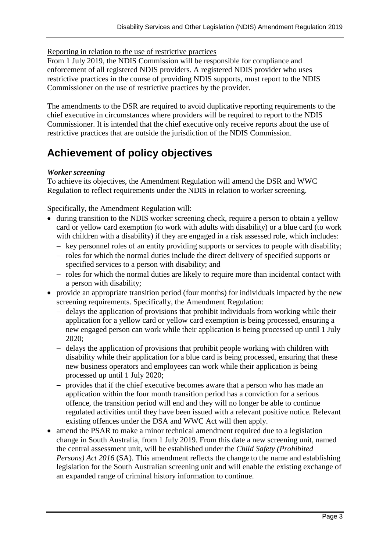#### Reporting in relation to the use of restrictive practices

From 1 July 2019, the NDIS Commission will be responsible for compliance and enforcement of all registered NDIS providers. A registered NDIS provider who uses restrictive practices in the course of providing NDIS supports, must report to the NDIS Commissioner on the use of restrictive practices by the provider.

The amendments to the DSR are required to avoid duplicative reporting requirements to the chief executive in circumstances where providers will be required to report to the NDIS Commissioner. It is intended that the chief executive only receive reports about the use of restrictive practices that are outside the jurisdiction of the NDIS Commission.

### **Achievement of policy objectives**

#### *Worker screening*

To achieve its objectives, the Amendment Regulation will amend the DSR and WWC Regulation to reflect requirements under the NDIS in relation to worker screening.

Specifically, the Amendment Regulation will:

- during transition to the NDIS worker screening check, require a person to obtain a yellow card or yellow card exemption (to work with adults with disability) or a blue card (to work with children with a disability) if they are engaged in a risk assessed role, which includes:
	- key personnel roles of an entity providing supports or services to people with disability;
	- roles for which the normal duties include the direct delivery of specified supports or specified services to a person with disability; and
	- roles for which the normal duties are likely to require more than incidental contact with a person with disability;
- provide an appropriate transition period (four months) for individuals impacted by the new screening requirements. Specifically, the Amendment Regulation:
	- $-\theta$  delays the application of provisions that prohibit individuals from working while their application for a yellow card or yellow card exemption is being processed, ensuring a new engaged person can work while their application is being processed up until 1 July 2020;
	- delays the application of provisions that prohibit people working with children with disability while their application for a blue card is being processed, ensuring that these new business operators and employees can work while their application is being processed up until 1 July 2020;
	- provides that if the chief executive becomes aware that a person who has made an application within the four month transition period has a conviction for a serious offence, the transition period will end and they will no longer be able to continue regulated activities until they have been issued with a relevant positive notice. Relevant existing offences under the DSA and WWC Act will then apply.
- amend the PSAR to make a minor technical amendment required due to a legislation change in South Australia, from 1 July 2019. From this date a new screening unit, named the central assessment unit, will be established under the *Child Safety (Prohibited Persons*) *Act 2016* (SA). This amendment reflects the change to the name and establishing legislation for the South Australian screening unit and will enable the existing exchange of an expanded range of criminal history information to continue.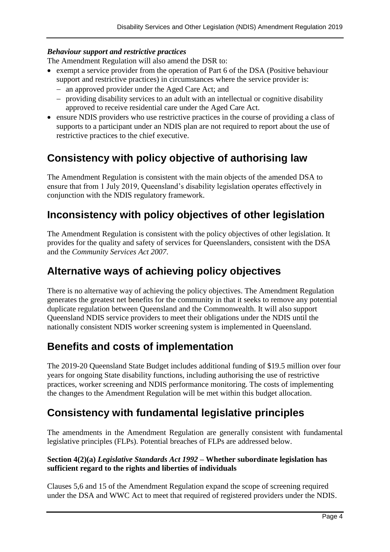#### *Behaviour support and restrictive practices*

The Amendment Regulation will also amend the DSR to:

- exempt a service provider from the operation of Part 6 of the DSA (Positive behaviour support and restrictive practices) in circumstances where the service provider is:
	- an approved provider under the Aged Care Act; and
	- providing disability services to an adult with an intellectual or cognitive disability approved to receive residential care under the Aged Care Act.
- ensure NDIS providers who use restrictive practices in the course of providing a class of supports to a participant under an NDIS plan are not required to report about the use of restrictive practices to the chief executive.

### **Consistency with policy objective of authorising law**

The Amendment Regulation is consistent with the main objects of the amended DSA to ensure that from 1 July 2019, Queensland's disability legislation operates effectively in conjunction with the NDIS regulatory framework.

### **Inconsistency with policy objectives of other legislation**

The Amendment Regulation is consistent with the policy objectives of other legislation. It provides for the quality and safety of services for Queenslanders, consistent with the DSA and the *Community Services Act 2007*.

### **Alternative ways of achieving policy objectives**

There is no alternative way of achieving the policy objectives. The Amendment Regulation generates the greatest net benefits for the community in that it seeks to remove any potential duplicate regulation between Queensland and the Commonwealth. It will also support Queensland NDIS service providers to meet their obligations under the NDIS until the nationally consistent NDIS worker screening system is implemented in Queensland.

### **Benefits and costs of implementation**

The 2019-20 Queensland State Budget includes additional funding of \$19.5 million over four years for ongoing State disability functions, including authorising the use of restrictive practices, worker screening and NDIS performance monitoring. The costs of implementing the changes to the Amendment Regulation will be met within this budget allocation.

### **Consistency with fundamental legislative principles**

The amendments in the Amendment Regulation are generally consistent with fundamental legislative principles (FLPs). Potential breaches of FLPs are addressed below.

#### **Section 4(2)(a)** *Legislative Standards Act 1992* **– Whether subordinate legislation has sufficient regard to the rights and liberties of individuals**

Clauses 5,6 and 15 of the Amendment Regulation expand the scope of screening required under the DSA and WWC Act to meet that required of registered providers under the NDIS.